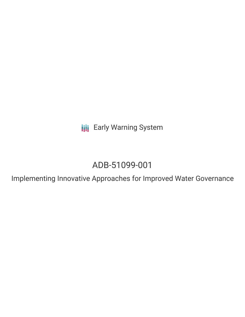**III** Early Warning System

# ADB-51099-001

Implementing Innovative Approaches for Improved Water Governance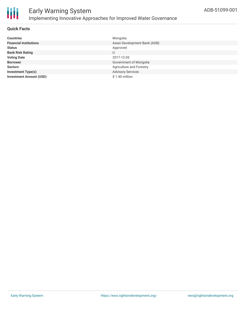

## Early Warning System Implementing Innovative Approaches for Improved Water Governance

#### **Quick Facts**

| <b>Countries</b>               | Mongolia                     |
|--------------------------------|------------------------------|
| <b>Financial Institutions</b>  | Asian Development Bank (ADB) |
| <b>Status</b>                  | Approved                     |
| <b>Bank Risk Rating</b>        | U                            |
| <b>Voting Date</b>             | 2017-12-05                   |
| <b>Borrower</b>                | Government of Mongolia       |
| <b>Sectors</b>                 | Agriculture and Forestry     |
| <b>Investment Type(s)</b>      | <b>Advisory Services</b>     |
| <b>Investment Amount (USD)</b> | \$1.40 million               |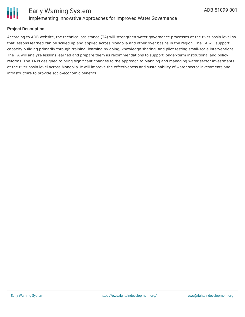

# Ш

#### **Project Description**

According to ADB website, the technical assistance (TA) will strengthen water governance processes at the river basin level so that lessons learned can be scaled up and applied across Mongolia and other river basins in the region. The TA will support capacity building primarily through training, learning by doing, knowledge sharing, and pilot testing small-scale interventions. The TA will analyze lessons learned and prepare them as recommendations to support longer-term institutional and policy reforms. The TA is designed to bring significant changes to the approach to planning and managing water sector investments at the river basin level across Mongolia. It will improve the effectiveness and sustainability of water sector investments and infrastructure to provide socio-economic benefits.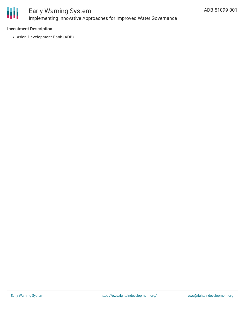

### Early Warning System Implementing Innovative Approaches for Improved Water Governance

#### **Investment Description**

Asian Development Bank (ADB)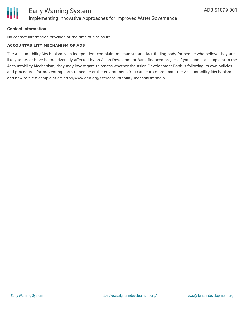

#### **Contact Information**

No contact information provided at the time of disclosure.

#### **ACCOUNTABILITY MECHANISM OF ADB**

The Accountability Mechanism is an independent complaint mechanism and fact-finding body for people who believe they are likely to be, or have been, adversely affected by an Asian Development Bank-financed project. If you submit a complaint to the Accountability Mechanism, they may investigate to assess whether the Asian Development Bank is following its own policies and procedures for preventing harm to people or the environment. You can learn more about the Accountability Mechanism and how to file a complaint at: http://www.adb.org/site/accountability-mechanism/main